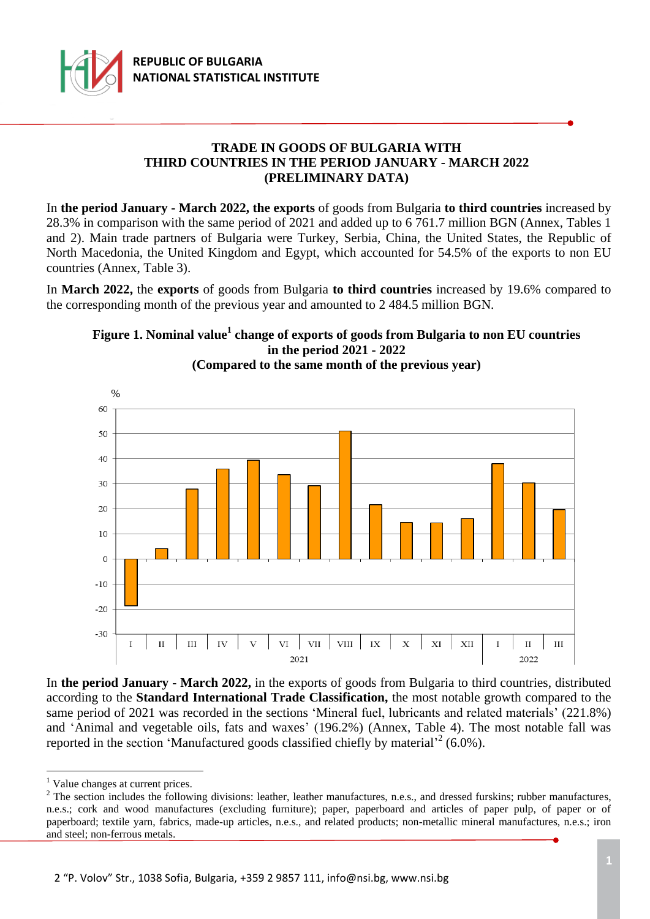

### **TRADE IN GOODS OF BULGARIA WITH THIRD COUNTRIES IN THE PERIOD JANUARY - MARCH 2022 (PRELIMINARY DATA)**

In **the period January - March 2022, the exports** of goods from Bulgaria **to third countries** increased by 28.3% in comparison with the same period of 2021 and added up to 6 761.7 million BGN (Annex, Tables 1 and 2). Main trade partners of Bulgaria were Turkey, Serbia, China, the United States, the Republic of North Macedonia, the United Kingdom and Egypt, which accounted for 54.5% of the exports to non EU countries (Annex, Table 3).

In **March 2022,** the **exports** of goods from Bulgaria **to third countries** increased by 19.6% compared to the corresponding month of the previous year and amounted to 2 484.5 million BGN.



# **Figure 1. Nominal value<sup>1</sup> change of exports of goods from Bulgaria to non EU countries in the period 2021 - 2022**

In **the period January - March 2022,** in the exports of goods from Bulgaria to third countries, distributed according to the **Standard International Trade Classification,** the most notable growth compared to the same period of 2021 was recorded in the sections 'Mineral fuel, lubricants and related materials' (221.8%) and 'Animal and vegetable oils, fats and waxes' (196.2%) (Annex, Table 4). The most notable fall was reported in the section 'Manufactured goods classified chiefly by material'<sup>2</sup> (6.0%).

<sup>&</sup>lt;sup>1</sup> Value changes at current prices.

<sup>&</sup>lt;sup>2</sup> The section includes the following divisions: leather, leather manufactures, n.e.s., and dressed furskins; rubber manufactures, n.e.s.; cork and wood manufactures (excluding furniture); paper, paperboard and articles of paper pulp, of paper or of paperboard; textile yarn, fabrics, made-up articles, n.e.s., and related products; non-metallic mineral manufactures, n.e.s.; iron and steel; non-ferrous metals.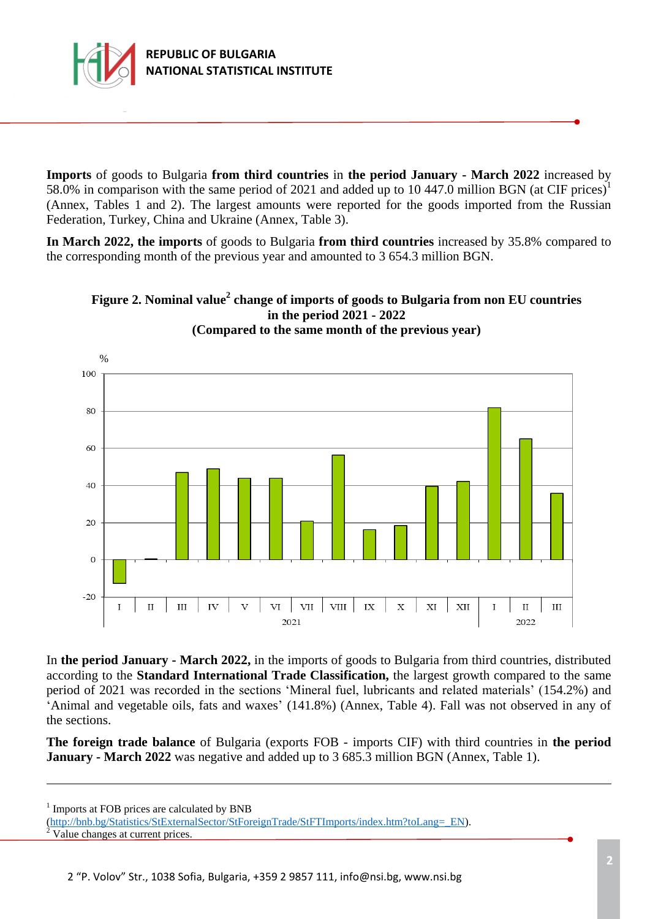

**Imports** of goods to Bulgaria **from third countries** in **the period January - March 2022** increased by 58.0% in comparison with the same period of 2021 and added up to 10 447.0 million BGN (at CIF prices)<sup>1</sup> (Annex, Tables 1 and 2). The largest amounts were reported for the goods imported from the Russian Federation, Turkey, China and Ukraine (Annex, Table 3).

**In March 2022, the imports** of goods to Bulgaria **from third countries** increased by 35.8% compared to the corresponding month of the previous year and amounted to 3 654.3 million BGN.



**Figure 2. Nominal value<sup>2</sup> change of imports of goods to Bulgaria from non EU countries in the period 2021 - 2022 (Compared to the same month of the previous year)**

In **the period January - March 2022,** in the imports of goods to Bulgaria from third countries, distributed according to the **Standard International Trade Classification,** the largest growth compared to the same period of 2021 was recorded in the sections 'Mineral fuel, lubricants and related materials' (154.2%) and 'Animal and vegetable oils, fats and waxes' (141.8%) (Annex, Table 4). Fall was not observed in any of the sections.

**The foreign trade balance** of Bulgaria (exports FOB - imports CIF) with third countries in **the period January - March 2022** was negative and added up to 3 685.3 million BGN (Annex, Table 1).

<sup>1</sup> Imports at FOB prices are calculated by BNB

[\(http://bnb.bg/Statistics/StExternalSector/StForeignTrade/StFTImports/index.htm?toLang=\\_EN\)](http://bnb.bg/Statistics/StExternalSector/StForeignTrade/StFTImports/index.htm?toLang=_EN).

Value changes at current prices.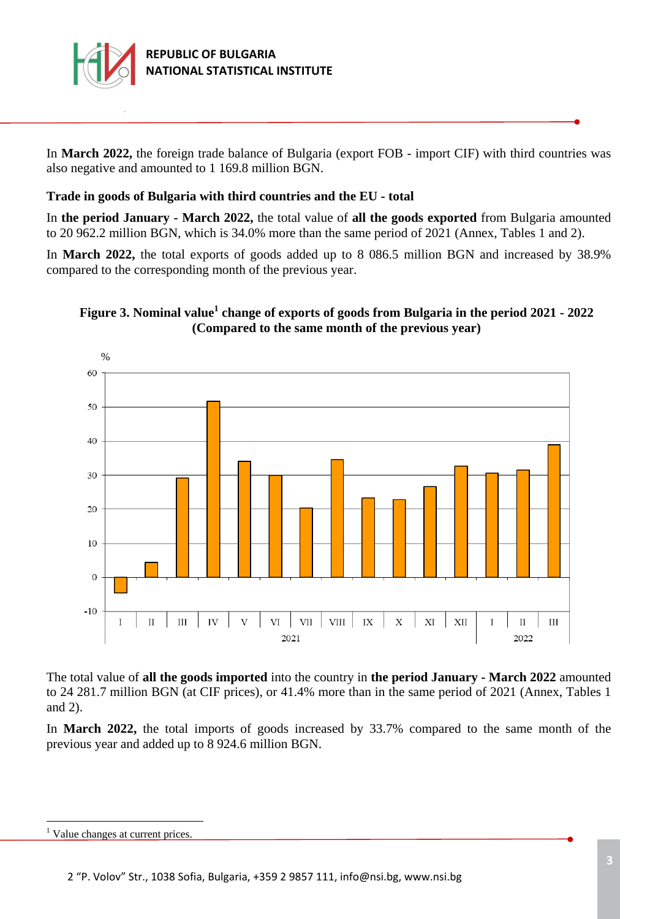

In **March 2022,** the foreign trade balance of Bulgaria (export FOB - import CIF) with third countries was also negative and amounted to 1 169.8 million BGN.

### **Trade in goods of Bulgaria with third countries and the EU - total**

In **the period January - March 2022,** the total value of **all the goods exported** from Bulgaria amounted to 20 962.2 million BGN, which is 34.0% more than the same period of 2021 (Annex, Tables 1 and 2).

In **March 2022,** the total exports of goods added up to 8 086.5 million BGN and increased by 38.9% compared to the corresponding month of the previous year.

### **Figure 3. Nominal value<sup>1</sup> change of exports of goods from Bulgaria in the period 2021 - 2022 (Compared to the same month of the previous year)**



The total value of **all the goods imported** into the country in **the period January - March 2022** amounted to 24 281.7 million BGN (at CIF prices), or 41.4% more than in the same period of 2021 (Annex, Tables 1 and 2).

In **March 2022,** the total imports of goods increased by 33.7% compared to the same month of the previous year and added up to 8 924.6 million BGN.

<sup>&</sup>lt;sup>1</sup> Value changes at current prices.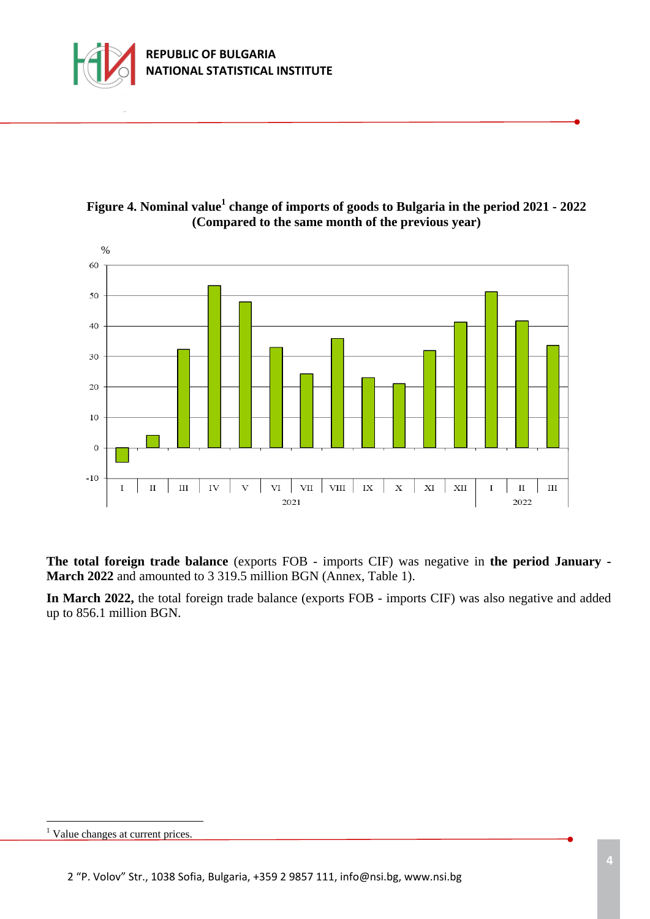

## **Figure 4. Nominal value<sup>1</sup> change of imports of goods to Bulgaria in the period 2021 - 2022 (Compared to the same month of the previous year)**



**The total foreign trade balance** (exports FOB - imports CIF) was negative in **the period January - March 2022** and amounted to 3 319.5 million BGN (Annex, Table 1).

**In March 2022,** the total foreign trade balance (exports FOB - imports CIF) was also negative and added up to 856.1 million BGN.

<sup>&</sup>lt;sup>1</sup> Value changes at current prices.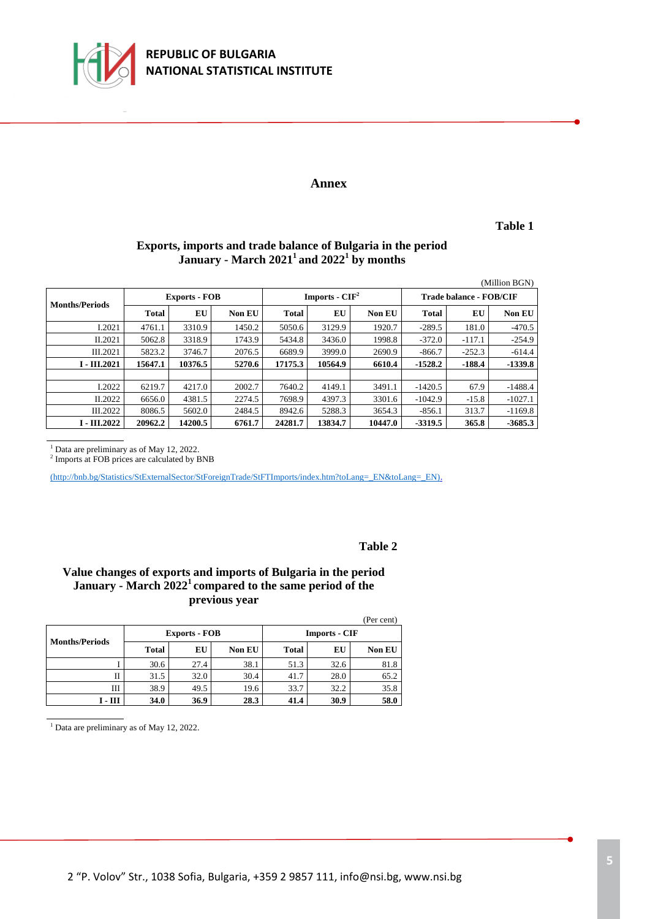

#### **Annex**

**Table 1**

#### **Exports, imports and trade balance of Bulgaria in the period January - March 2021<sup>1</sup>and 2022<sup>1</sup> by months**

| (Million BGN)         |                      |         |               |                                    |         |               |                         |          |               |
|-----------------------|----------------------|---------|---------------|------------------------------------|---------|---------------|-------------------------|----------|---------------|
| <b>Months/Periods</b> | <b>Exports - FOB</b> |         |               | <b>Imports - <math>CIF2</math></b> |         |               | Trade balance - FOB/CIF |          |               |
|                       | <b>Total</b>         | EU      | <b>Non EU</b> | <b>Total</b>                       | EU      | <b>Non EU</b> | <b>Total</b>            | EU       | <b>Non EU</b> |
| I.2021                | 4761.1               | 3310.9  | 1450.2        | 5050.6                             | 3129.9  | 1920.7        | $-289.5$                | 181.0    | $-470.5$      |
| II.2021               | 5062.8               | 3318.9  | 1743.9        | 5434.8                             | 3436.0  | 1998.8        | $-372.0$                | $-117.1$ | $-254.9$      |
| III.2021              | 5823.2               | 3746.7  | 2076.5        | 6689.9                             | 3999.0  | 2690.9        | $-866.7$                | $-252.3$ | $-614.4$      |
| $I - III.2021$        | 15647.1              | 10376.5 | 5270.6        | 17175.3                            | 10564.9 | 6610.4        | $-1528.2$               | $-188.4$ | $-1339.8$     |
|                       |                      |         |               |                                    |         |               |                         |          |               |
| I.2022                | 6219.7               | 4217.0  | 2002.7        | 7640.2                             | 4149.1  | 3491.1        | $-1420.5$               | 67.9     | $-1488.4$     |
| II.2022               | 6656.0               | 4381.5  | 2274.5        | 7698.9                             | 4397.3  | 3301.6        | $-1042.9$               | $-15.8$  | $-1027.1$     |
| III.2022              | 8086.5               | 5602.0  | 2484.5        | 8942.6                             | 5288.3  | 3654.3        | $-856.1$                | 313.7    | $-1169.8$     |
| $I - III.2022$        | 20962.2              | 14200.5 | 6761.7        | 24281.7                            | 13834.7 | 10447.0       | $-3319.5$               | 365.8    | $-3685.3$     |

<sup>1</sup> Data are preliminary as of May 12, 2022.

2 Imports at FOB prices are calculated by BNB

[\(http://bnb.bg/Statistics/StExternalSector/StForeignTrade/StFTImports/index.htm?toLang=\\_EN&toLang=\\_EN\).](http://bnb.bg/Statistics/StExternalSector/StForeignTrade/StFTImports/index.htm?toLang=_EN&toLang=_EN)

#### **Table 2**

#### **Value changes of exports and imports of Bulgaria in the period January - March 2022<sup>1</sup>compared to the same period of the previous year**

|                       |              |                      |               |                      |      | (Per cent)    |  |
|-----------------------|--------------|----------------------|---------------|----------------------|------|---------------|--|
| <b>Months/Periods</b> |              | <b>Exports - FOB</b> |               | <b>Imports - CIF</b> |      |               |  |
|                       | <b>Total</b> | EU                   | <b>Non EU</b> | <b>Total</b>         | EU   | <b>Non EU</b> |  |
|                       | 30.6         | 27.4                 | 38.1          | 51.3                 | 32.6 | 81.8          |  |
| П                     | 31.5         | 32.0                 | 30.4          | 41.7                 | 28.0 | 65.2          |  |
| Ш                     | 38.9         | 49.5                 | 19.6          | 33.7                 | 32.2 | 35.8          |  |
| І - Ш                 | 34.0         | 36.9                 | 28.3          | 41.4                 | 30.9 | 58.0          |  |

 $1$  Data are preliminary as of May 12, 2022.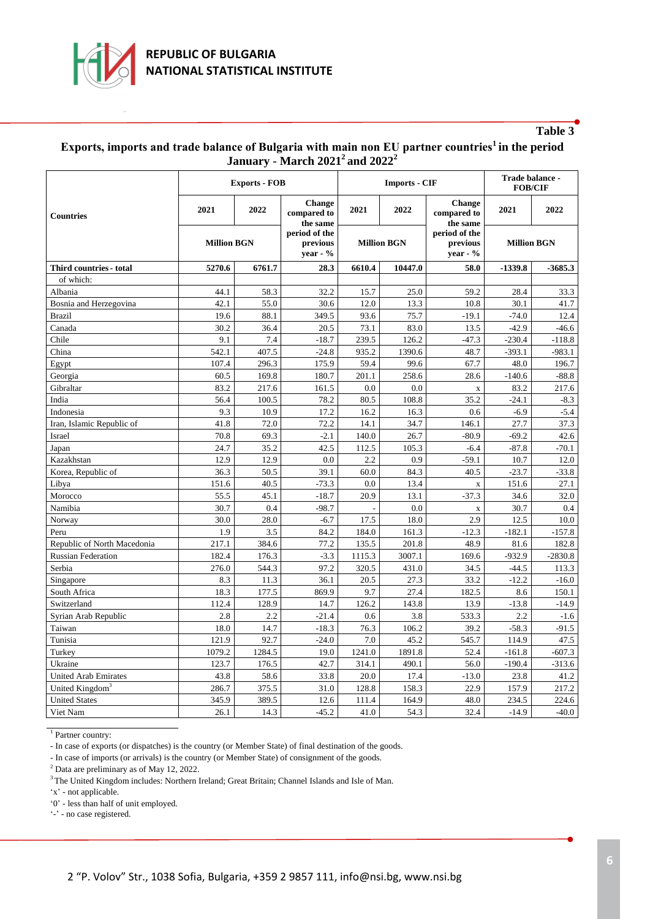

#### **Table 3**

### **Еxports, imports and trade balance of Bulgaria with main non EU partner countries<sup>1</sup>in the period January - March 2021<sup>2</sup>and 2022<sup>2</sup>**

|                             |                    | <b>Exports - FOB</b> |                                         | <b>Imports - CIF</b> | Trade balance -<br><b>FOB/CIF</b> |                                          |                    |           |
|-----------------------------|--------------------|----------------------|-----------------------------------------|----------------------|-----------------------------------|------------------------------------------|--------------------|-----------|
| <b>Countries</b>            | 2021               | 2022                 | Change<br>compared to<br>the same       | 2021                 | 2022                              | <b>Change</b><br>compared to<br>the same | 2021               | 2022      |
|                             | <b>Million BGN</b> |                      | period of the<br>previous<br>year - $%$ | <b>Million BGN</b>   |                                   | period of the<br>previous<br>year - $%$  | <b>Million BGN</b> |           |
| Third countries - total     | 5270.6             | 6761.7               | 28.3                                    | 6610.4               | 10447.0                           | 58.0                                     | $-1339.8$          | $-3685.3$ |
| of which:                   |                    |                      |                                         |                      |                                   |                                          |                    |           |
| Albania                     | 44.1               | 58.3                 | 32.2                                    | 15.7                 | 25.0                              | 59.2                                     | 28.4               | 33.3      |
| Bosnia and Herzegovina      | 42.1               | 55.0                 | 30.6                                    | 12.0                 | 13.3                              | 10.8                                     | 30.1               | 41.7      |
| <b>Brazil</b>               | 19.6               | 88.1                 | 349.5                                   | 93.6                 | 75.7                              | $-19.1$                                  | $-74.0$            | 12.4      |
| Canada                      | 30.2               | 36.4                 | 20.5                                    | 73.1                 | 83.0                              | 13.5                                     | $-42.9$            | $-46.6$   |
| Chile                       | 9.1                | 7.4                  | $-18.7$                                 | 239.5                | 126.2                             | $-47.3$                                  | $-230.4$           | $-118.8$  |
| China                       | 542.1              | 407.5                | $-24.8$                                 | 935.2                | 1390.6                            | 48.7                                     | $-393.1$           | $-983.1$  |
| Egypt                       | 107.4              | 296.3                | 175.9                                   | 59.4                 | 99.6                              | 67.7                                     | 48.0               | 196.7     |
| Georgia                     | 60.5               | 169.8                | 180.7                                   | 201.1                | 258.6                             | 28.6                                     | $-140.6$           | $-88.8$   |
| Gibraltar                   | 83.2               | 217.6                | 161.5                                   | 0.0                  | 0.0                               | $\mathbf X$                              | 83.2               | 217.6     |
| India                       | 56.4               | 100.5                | 78.2                                    | 80.5                 | 108.8                             | 35.2                                     | $-24.1$            | $-8.3$    |
| Indonesia                   | 9.3                | 10.9                 | 17.2                                    | 16.2                 | 16.3                              | 0.6                                      | $-6.9$             | $-5.4$    |
| Iran, Islamic Republic of   | 41.8               | 72.0                 | 72.2                                    | 14.1                 | 34.7                              | 146.1                                    | 27.7               | 37.3      |
| Israel                      | 70.8               | 69.3                 | $-2.1$                                  | 140.0                | 26.7                              | $-80.9$                                  | $-69.2$            | 42.6      |
| Japan                       | 24.7               | 35.2                 | 42.5                                    | 112.5                | 105.3                             | $-6.4$                                   | $-87.8$            | $-70.1$   |
| Kazakhstan                  | 12.9               | 12.9                 | 0.0                                     | 2.2                  | 0.9                               | $-59.1$                                  | 10.7               | 12.0      |
| Korea, Republic of          | 36.3               | 50.5                 | 39.1                                    | 60.0                 | 84.3                              | 40.5                                     | $-23.7$            | $-33.8$   |
| Libya                       | 151.6              | 40.5                 | $-73.3$                                 | 0.0                  | 13.4                              | $\mathbf X$                              | 151.6              | 27.1      |
| Morocco                     | 55.5               | 45.1                 | $-18.7$                                 | 20.9                 | 13.1                              | $-37.3$                                  | 34.6               | 32.0      |
| Namibia                     | 30.7               | 0.4                  | $-98.7$                                 |                      | 0.0                               | $\mathbf X$                              | 30.7               | 0.4       |
| Norway                      | 30.0               | 28.0                 | $-6.7$                                  | 17.5                 | 18.0                              | 2.9                                      | 12.5               | 10.0      |
| Peru                        | 1.9                | 3.5                  | 84.2                                    | 184.0                | 161.3                             | $-12.3$                                  | $-182.1$           | $-157.8$  |
| Republic of North Macedonia | 217.1              | 384.6                | 77.2                                    | 135.5                | 201.8                             | 48.9                                     | 81.6               | 182.8     |
| <b>Russian Federation</b>   | 182.4              | 176.3                | $-3.3$                                  | 1115.3               | 3007.1                            | 169.6                                    | $-932.9$           | $-2830.8$ |
| Serbia                      | 276.0              | 544.3                | 97.2                                    | 320.5                | 431.0                             | 34.5                                     | $-44.5$            | 113.3     |
| Singapore                   | 8.3                | 11.3                 | 36.1                                    | 20.5                 | 27.3                              | 33.2                                     | $-12.2$            | $-16.0$   |
| South Africa                | 18.3               | 177.5                | 869.9                                   | 9.7                  | 27.4                              | 182.5                                    | 8.6                | 150.1     |
| Switzerland                 | 112.4              | 128.9                | 14.7                                    | 126.2                | 143.8                             | 13.9                                     | $-13.8$            | $-14.9$   |
| Syrian Arab Republic        | 2.8                | 2.2                  | $-21.4$                                 | 0.6                  | 3.8                               | 533.3                                    | 2.2                | $-1.6$    |
| Taiwan                      | 18.0               | 14.7                 | $-18.3$                                 | 76.3                 | 106.2                             | 39.2                                     | $-58.3$            | $-91.5$   |
| Tunisia                     | 121.9              | 92.7                 | $-24.0$                                 | 7.0                  | 45.2                              | 545.7                                    | 114.9              | 47.5      |
| Turkey                      | 1079.2             | 1284.5               | 19.0                                    | 1241.0               | 1891.8                            | 52.4                                     | $-161.8$           | $-607.3$  |
| Ukraine                     | 123.7              | 176.5                | 42.7                                    | 314.1                | 490.1                             | 56.0                                     | $-190.4$           | $-313.6$  |
| <b>United Arab Emirates</b> | 43.8               | 58.6                 | 33.8                                    | 20.0                 | 17.4                              | $-13.0$                                  | 23.8               | 41.2      |
| United Kingdom <sup>3</sup> | 286.7              | 375.5                | 31.0                                    | 128.8                | 158.3                             | 22.9                                     | 157.9              | 217.2     |
| <b>United States</b>        | 345.9              | 389.5                | 12.6                                    | 111.4                | 164.9                             | 48.0                                     | 234.5              | 224.6     |
| Viet Nam                    | 26.1               | 14.3                 | $-45.2$                                 | 41.0                 | 54.3                              | 32.4                                     | $-14.9$            | $-40.0$   |

<sup>1</sup> Partner country:

- In case of exports (or dispatches) is the country (or Member State) of final destination of the goods.

- In case of imports (or arrivals) is the country (or Member State) of consignment of the goods.

<sup>2</sup> Data are preliminary as of May 12, 2022.

<sup>3</sup> The United Kingdom includes: Northern Ireland; Great Britain; Channel Islands and Isle of Man.

'x' - not applicable.

'0' - less than half of unit employed.

'-' - no case registered.